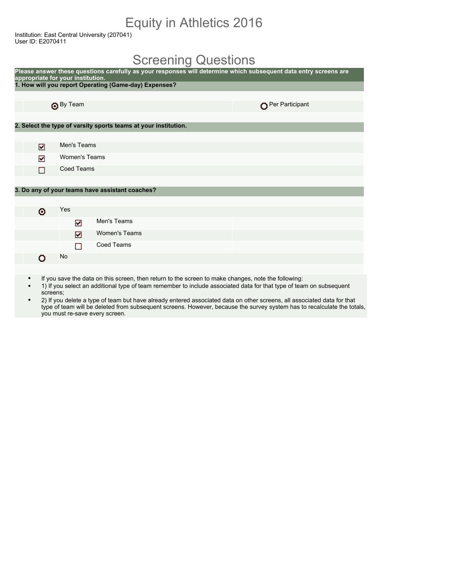## Equity in Athletics 2016

Institution: East Central University (207041) User ID: E2070411

#### Screening Questions

| appropriate for your institution. |                                                                 | Please answer these questions carefully as your responses will determine which subsequent data entry screens are |
|-----------------------------------|-----------------------------------------------------------------|------------------------------------------------------------------------------------------------------------------|
|                                   | 1. How will you report Operating (Game-day) Expenses?           |                                                                                                                  |
|                                   |                                                                 |                                                                                                                  |
| <b>O</b> By Team                  |                                                                 | Per Participant                                                                                                  |
|                                   |                                                                 |                                                                                                                  |
|                                   | 2. Select the type of varsity sports teams at your institution. |                                                                                                                  |
|                                   |                                                                 |                                                                                                                  |
| ☑                                 | Men's Teams                                                     |                                                                                                                  |
| ☑                                 | <b>Women's Teams</b>                                            |                                                                                                                  |
| П                                 | <b>Coed Teams</b>                                               |                                                                                                                  |
|                                   |                                                                 |                                                                                                                  |
|                                   | 3. Do any of your teams have assistant coaches?                 |                                                                                                                  |
|                                   |                                                                 |                                                                                                                  |
| Yes<br>۰                          |                                                                 |                                                                                                                  |
|                                   | Men's Teams<br>☑                                                |                                                                                                                  |
|                                   | <b>Women's Teams</b><br>☑                                       |                                                                                                                  |
|                                   | Coed Teams<br>П                                                 |                                                                                                                  |
| No<br>Ω                           |                                                                 |                                                                                                                  |
|                                   |                                                                 |                                                                                                                  |

- If you save the data on this screen, then return to the screen to make changes, note the following:
- 1) If you select an additional type of team remember to include associated data for that type of team on subsequent screens;
- 2) If you delete a type of team but have already entered associated data on other screens, all associated data for that type of team will be deleted from subsequent screens. However, because the survey system has to recalculate the totals, you must re-save every screen.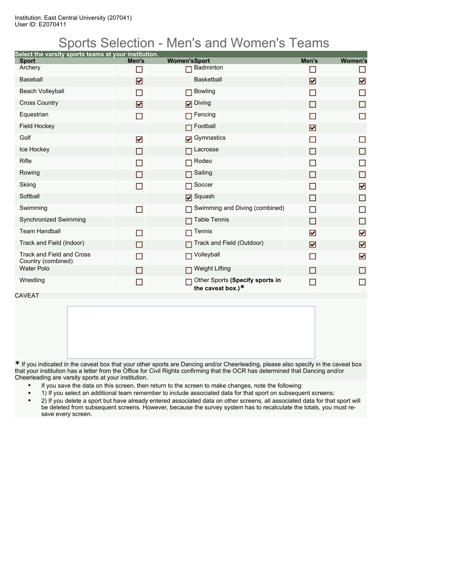## Sports Selection - Men's and Women's Teams

| Select the varsity sports teams at your institution. |                |                                                         |       |                |
|------------------------------------------------------|----------------|---------------------------------------------------------|-------|----------------|
| <b>Sport</b>                                         | Men's          | <b>Women'sSport</b>                                     | Men's | <b>Women's</b> |
| Archery                                              | n l            | Badminton                                               |       | П              |
| <b>Baseball</b>                                      | ☑              | <b>Basketball</b>                                       | ☑     | ☑              |
| Beach Volleyball                                     |                | <b>Bowling</b>                                          | П     | П              |
| <b>Cross Country</b>                                 | ☑              | Diving                                                  | ΙI    | П              |
| Equestrian                                           | П              | $\Box$ Fencing                                          |       | □              |
| <b>Field Hockey</b>                                  |                | $\Box$ Football                                         | ☑     |                |
| Golf                                                 | ☑              | Gymnastics                                              |       | П              |
| Ice Hockey                                           | П              | Lacrosse                                                | П     | П              |
| <b>Rifle</b>                                         |                | Rodeo                                                   |       | П              |
| Rowing                                               |                | Sailing                                                 | П     | $\Box$         |
| Skiing                                               |                | Soccer                                                  |       | ☑              |
| Softball                                             |                | <b>□</b> Squash                                         | П     | $\Box$         |
| Swimming                                             | П              | Swimming and Diving (combined)                          | П     | □              |
| Synchronized Swimming                                |                | <b>Table Tennis</b>                                     | ΙI    | $\Box$         |
| <b>Team Handball</b>                                 | <b>Talent</b>  | Tennis                                                  | ☑     | ☑              |
| Track and Field (Indoor)                             | ΙI             | Track and Field (Outdoor)                               | ☑     | ☑              |
| Track and Field and Cross<br>Country (combined)      | ×.             | <b>Nolleyball</b>                                       | П     | ☑              |
| <b>Water Polo</b>                                    |                | <b>D</b> Weight Lifting                                 | П     | П              |
| Wrestling                                            | $\blacksquare$ | Other Sports (Specify sports in<br>the caveat box.) $*$ |       | П              |

CAVEAT

**\*** If you indicated in the caveat box that your other sports are Dancing and/or Cheerleading, please also specify in the caveat box that your institution has a letter from the Office for Civil Rights confirming that the OCR has determined that Dancing and/or Cheerleading are varsity sports at your institution.

- If you save the data on this screen, then return to the screen to make changes, note the following:
- 1) If you select an additional team remember to include associated data for that sport on subsequent screens;
- 2) If you delete a sport but have already entered associated data on other screens, all associated data for that sport will be deleted from subsequent screens. However, because the survey system has to recalculate the totals, you must resave every screen.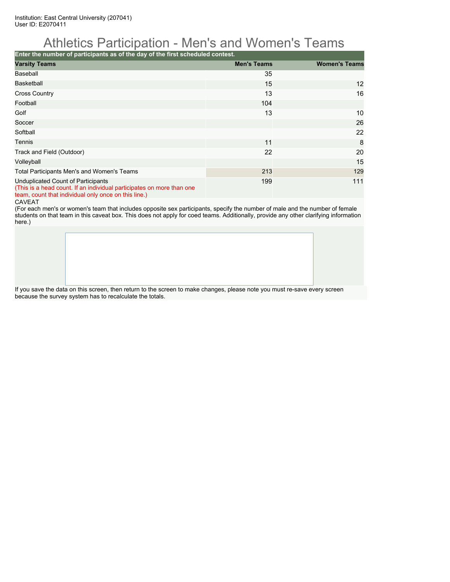## Athletics Participation - Men's and Women's Teams

**Enter the number of participants as of the day of the first scheduled contest.**

| <b>Varsity Teams</b>                                                                                                                                                | <b>Men's Teams</b> | <b>Women's Teams</b> |  |  |  |  |  |  |
|---------------------------------------------------------------------------------------------------------------------------------------------------------------------|--------------------|----------------------|--|--|--|--|--|--|
| Baseball                                                                                                                                                            | 35                 |                      |  |  |  |  |  |  |
| <b>Basketball</b>                                                                                                                                                   | 15                 | 12                   |  |  |  |  |  |  |
| <b>Cross Country</b>                                                                                                                                                | 13                 | 16                   |  |  |  |  |  |  |
| Football                                                                                                                                                            | 104                |                      |  |  |  |  |  |  |
| Golf                                                                                                                                                                | 13                 | 10                   |  |  |  |  |  |  |
| Soccer                                                                                                                                                              |                    | 26                   |  |  |  |  |  |  |
| Softball                                                                                                                                                            |                    | 22                   |  |  |  |  |  |  |
| Tennis                                                                                                                                                              | 11                 | 8                    |  |  |  |  |  |  |
| Track and Field (Outdoor)                                                                                                                                           | 22                 | 20                   |  |  |  |  |  |  |
| Volleyball                                                                                                                                                          |                    | 15                   |  |  |  |  |  |  |
| Total Participants Men's and Women's Teams                                                                                                                          | 213                | 129                  |  |  |  |  |  |  |
| Unduplicated Count of Participants<br>(This is a head count. If an individual participates on more than one<br>team, count that individual only once on this line.) | 199                | 111                  |  |  |  |  |  |  |

CAVEAT

(For each men's or women's team that includes opposite sex participants, specify the number of male and the number of female students on that team in this caveat box. This does not apply for coed teams. Additionally, provide any other clarifying information here.)

If you save the data on this screen, then return to the screen to make changes, please note you must re-save every screen because the survey system has to recalculate the totals.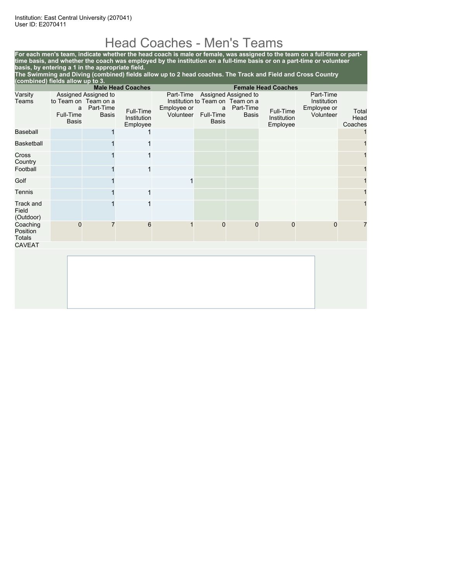## Head Coaches - Men's Teams

**For each men's team, indicate whether the head coach is male or female, was assigned to the team on a full-time or parttime basis, and whether the coach was employed by the institution on a full-time basis or on a part-time or volunteer basis, by entering a 1 in the appropriate field.**

**The Swimming and Diving (combined) fields allow up to 2 head coaches. The Track and Field and Cross Country (combined) fields allow up to 3.**

|                                        |                                |                                                                           | <b>Male Head Coaches</b>             |                                       |                                                                    |                                                   | <b>Female Head Coaches</b>           |                                                      |                          |  |
|----------------------------------------|--------------------------------|---------------------------------------------------------------------------|--------------------------------------|---------------------------------------|--------------------------------------------------------------------|---------------------------------------------------|--------------------------------------|------------------------------------------------------|--------------------------|--|
| Varsity<br>Teams                       | a<br>Full-Time<br><b>Basis</b> | Assigned Assigned to<br>to Team on Team on a<br>Part-Time<br><b>Basis</b> | Full-Time<br>Institution<br>Employee | Part-Time<br>Employee or<br>Volunteer | Institution to Team on Team on a<br>a<br>Full-Time<br><b>Basis</b> | Assigned Assigned to<br>Part-Time<br><b>Basis</b> | Full-Time<br>Institution<br>Employee | Part-Time<br>Institution<br>Employee or<br>Volunteer | Total<br>Head<br>Coaches |  |
| <b>Baseball</b>                        |                                |                                                                           |                                      |                                       |                                                                    |                                                   |                                      |                                                      |                          |  |
| <b>Basketball</b>                      |                                |                                                                           |                                      |                                       |                                                                    |                                                   |                                      |                                                      |                          |  |
| Cross<br>Country                       |                                |                                                                           |                                      |                                       |                                                                    |                                                   |                                      |                                                      |                          |  |
| Football                               |                                |                                                                           | 1                                    |                                       |                                                                    |                                                   |                                      |                                                      |                          |  |
| Golf                                   |                                |                                                                           |                                      | 1                                     |                                                                    |                                                   |                                      |                                                      |                          |  |
| Tennis                                 |                                |                                                                           | 1                                    |                                       |                                                                    |                                                   |                                      |                                                      |                          |  |
| <b>Track and</b><br>Field<br>(Outdoor) |                                |                                                                           |                                      |                                       |                                                                    |                                                   |                                      |                                                      |                          |  |
| Coaching<br>Position<br><b>Totals</b>  | 0                              |                                                                           | 6                                    |                                       | $\mathbf 0$                                                        | $\mathbf{0}$                                      | 0                                    | $\Omega$                                             |                          |  |
| <b>CAVEAT</b>                          |                                |                                                                           |                                      |                                       |                                                                    |                                                   |                                      |                                                      |                          |  |
|                                        |                                |                                                                           |                                      |                                       |                                                                    |                                                   |                                      |                                                      |                          |  |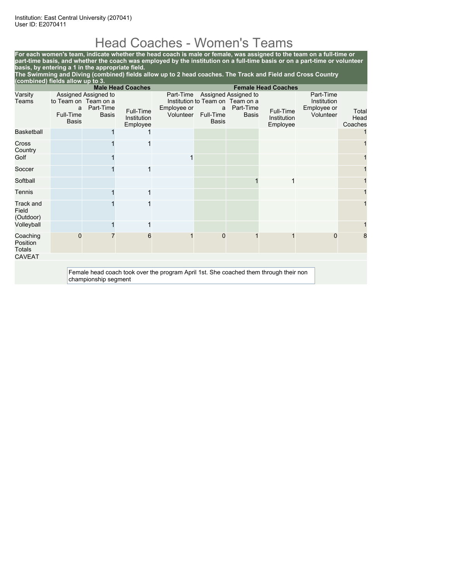# Head Coaches - Women's Teams

**For each women's team, indicate whether the head coach is male or female, was assigned to the team on a full-time or part-time basis, and whether the coach was employed by the institution on a full-time basis or on a part-time or volunteer basis, by entering a 1 in the appropriate field.**

**The Swimming and Diving (combined) fields allow up to 2 head coaches. The Track and Field and Cross Country (combined) fields allow up to 3.**

|                                       | <b>Male Head Coaches</b><br><b>Female Head Coaches</b> |                                   |                                      |                                                                                       |                           |                                                                       |                                      |                          |                          |
|---------------------------------------|--------------------------------------------------------|-----------------------------------|--------------------------------------|---------------------------------------------------------------------------------------|---------------------------|-----------------------------------------------------------------------|--------------------------------------|--------------------------|--------------------------|
| Varsity<br>Teams                      | to Team on Team on a<br>a                              | Assigned Assigned to<br>Part-Time |                                      | Part-Time<br>Employee or                                                              | a                         | Assigned Assigned to<br>Institution to Team on Team on a<br>Part-Time |                                      | Part-Time<br>Institution |                          |
|                                       | Full-Time<br><b>Basis</b>                              | <b>Basis</b>                      | Full-Time<br>Institution<br>Employee | Volunteer                                                                             | Full-Time<br><b>Basis</b> | <b>Basis</b>                                                          | Full-Time<br>Institution<br>Employee | Employee or<br>Volunteer | Total<br>Head<br>Coaches |
| Basketball                            |                                                        |                                   |                                      |                                                                                       |                           |                                                                       |                                      |                          |                          |
| Cross<br>Country                      |                                                        |                                   |                                      |                                                                                       |                           |                                                                       |                                      |                          |                          |
| Golf                                  |                                                        |                                   |                                      | 1                                                                                     |                           |                                                                       |                                      |                          |                          |
| Soccer                                |                                                        |                                   | 1                                    |                                                                                       |                           |                                                                       |                                      |                          |                          |
| Softball                              |                                                        |                                   |                                      |                                                                                       |                           |                                                                       |                                      |                          |                          |
| Tennis                                |                                                        |                                   | 1                                    |                                                                                       |                           |                                                                       |                                      |                          |                          |
| Track and<br>Field<br>(Outdoor)       |                                                        |                                   |                                      |                                                                                       |                           |                                                                       |                                      |                          |                          |
| Volleyball                            |                                                        |                                   |                                      |                                                                                       |                           |                                                                       |                                      |                          |                          |
| Coaching<br>Position<br><b>Totals</b> | 0                                                      |                                   | 6                                    | 1                                                                                     | $\mathbf 0$               |                                                                       |                                      | 0                        | 8                        |
| <b>CAVEAT</b>                         |                                                        |                                   |                                      |                                                                                       |                           |                                                                       |                                      |                          |                          |
|                                       |                                                        | championship segment              |                                      | Female head coach took over the program April 1st. She coached them through their non |                           |                                                                       |                                      |                          |                          |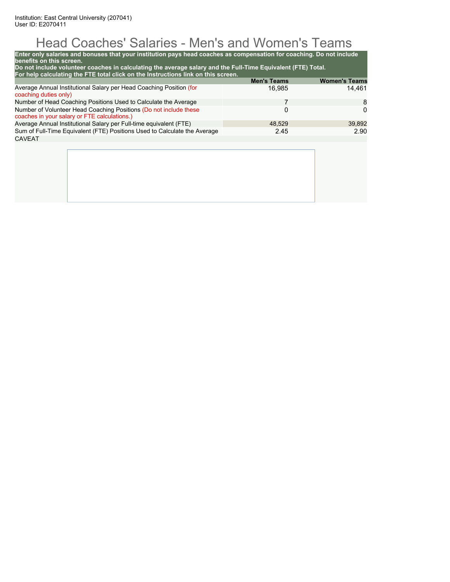# Head Coaches' Salaries - Men's and Women's Teams

| Enter only salaries and bonuses that your institution pays head coaches as compensation for coaching. Do not include<br>benefits on this screen.<br>Do not include volunteer coaches in calculating the average salary and the Full-Time Equivalent (FTE) Total.<br>For help calculating the FTE total click on the Instructions link on this screen. |                    |                      |
|-------------------------------------------------------------------------------------------------------------------------------------------------------------------------------------------------------------------------------------------------------------------------------------------------------------------------------------------------------|--------------------|----------------------|
|                                                                                                                                                                                                                                                                                                                                                       | <b>Men's Teams</b> | <b>Women's Teams</b> |
| Average Annual Institutional Salary per Head Coaching Position (for<br>coaching duties only)                                                                                                                                                                                                                                                          | 16,985             | 14.461               |
| Number of Head Coaching Positions Used to Calculate the Average                                                                                                                                                                                                                                                                                       | 7                  | 8                    |
| Number of Volunteer Head Coaching Positions (Do not include these<br>coaches in your salary or FTE calculations.)                                                                                                                                                                                                                                     | 0                  | 0                    |
| Average Annual Institutional Salary per Full-time equivalent (FTE)                                                                                                                                                                                                                                                                                    | 48.529             | 39,892               |
| Sum of Full-Time Equivalent (FTE) Positions Used to Calculate the Average                                                                                                                                                                                                                                                                             | 2.45               | 2.90                 |
| <b>CAVEAT</b>                                                                                                                                                                                                                                                                                                                                         |                    |                      |
|                                                                                                                                                                                                                                                                                                                                                       |                    |                      |
|                                                                                                                                                                                                                                                                                                                                                       |                    |                      |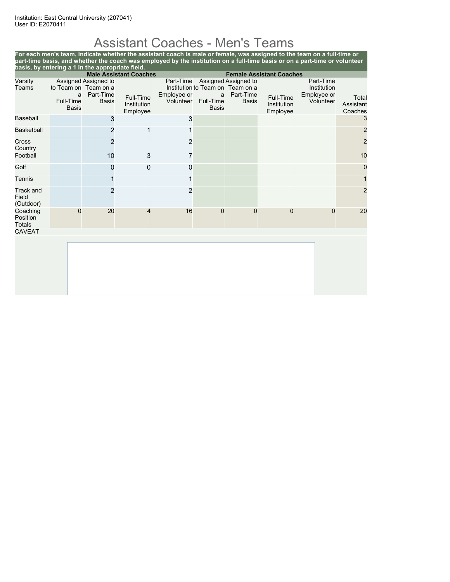# Assistant Coaches - Men's Teams

**For each men's team, indicate whether the assistant coach is male or female, was assigned to the team on a full-time or part-time basis, and whether the coach was employed by the institution on a full-time basis or on a part-time or volunteer basis, by entering a 1 in the appropriate field. Male Assistant Coaches Female Assistant Coaches** Varsity Teams Assigned Assigned to to Team on Team on a a Part-Time Full-Time Basis Basis Full-Time Institution Employee Part-Time Assigned Assigned to Institution to Team on Team on a Employee or Volunteer Full-Time a Part-Time Basis Basis Full-Time Institution Employee Part-Time Institution Employee or ployee or<br>Volunteer Assistant Assistant Coaches Baseball  $\qquad \qquad \qquad \mathsf{3} \qquad \qquad \mathsf{3} \qquad \qquad \mathsf{1} \qquad \qquad \mathsf{3} \qquad \qquad \mathsf{3}$ Basketball 2 1 1 2 Cross Country<br>Football 2 2 2 Football 10  $\,$  10  $\,$  3  $\,$  7  $\,$  1  $\,$  10  $\,$  10  $\,$  10  $\,$  10  $\,$  10  $\,$  10  $\,$  10  $\,$  10  $\,$  10  $\,$  10  $\,$  10  $\,$  10  $\,$  10  $\,$  10  $\,$  10  $\,$  10  $\,$  10  $\,$  10  $\,$  10  $\,$  10  $\,$  10  $\,$  10  $\,$ Golf 0 0 0 0 Tennis 1 1 1 Track and Field (Outdoor) 2 2 2 Coaching Position Totals 0 20 4 16 0 0 0 0 20 CAVEAT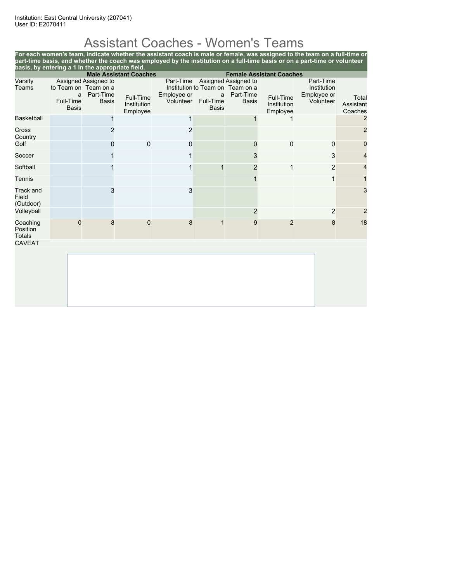# Assistant Coaches - Women's Teams

**For each women's team, indicate whether the assistant coach is male or female, was assigned to the team on a full-time or part-time basis, and whether the coach was employed by the institution on a full-time basis or on a part-time or volunteer basis, by entering a 1 in the appropriate field.**

|                                                 | <b>Male Assistant Coaches</b><br><b>Female Assistant Coaches</b> |                                                                           |                                      |                                       |                                |                                                                                       |                                      |                                                      |                               |
|-------------------------------------------------|------------------------------------------------------------------|---------------------------------------------------------------------------|--------------------------------------|---------------------------------------|--------------------------------|---------------------------------------------------------------------------------------|--------------------------------------|------------------------------------------------------|-------------------------------|
| Varsity<br>Teams                                | a<br>Full-Time<br><b>Basis</b>                                   | Assigned Assigned to<br>to Team on Team on a<br>Part-Time<br><b>Basis</b> | Full-Time<br>Institution<br>Employee | Part-Time<br>Employee or<br>Volunteer | a<br>Full-Time<br><b>Basis</b> | Assigned Assigned to<br>Institution to Team on Team on a<br>Part-Time<br><b>Basis</b> | Full-Time<br>Institution<br>Employee | Part-Time<br>Institution<br>Employee or<br>Volunteer | Total<br>Assistant<br>Coaches |
| <b>Basketball</b>                               |                                                                  |                                                                           |                                      |                                       |                                |                                                                                       |                                      |                                                      | $\overline{2}$                |
| <b>Cross</b><br>Country                         |                                                                  | 2                                                                         |                                      | 2                                     |                                |                                                                                       |                                      |                                                      | $\overline{2}$                |
| Golf                                            |                                                                  | 0                                                                         | $\mathbf 0$                          | 0                                     |                                | 0                                                                                     | 0                                    | $\mathbf 0$                                          | 0                             |
| Soccer                                          |                                                                  |                                                                           |                                      |                                       |                                | 3                                                                                     |                                      | 3                                                    | $\overline{4}$                |
| Softball                                        |                                                                  |                                                                           |                                      | 1                                     |                                | 2                                                                                     | 1                                    | $\overline{2}$                                       | 4                             |
| Tennis                                          |                                                                  |                                                                           |                                      |                                       |                                |                                                                                       |                                      | 1                                                    |                               |
| Track and<br>Field<br>(Outdoor)                 |                                                                  | 3                                                                         |                                      | 3                                     |                                |                                                                                       |                                      |                                                      | 3                             |
| Volleyball                                      |                                                                  |                                                                           |                                      |                                       |                                | $\overline{2}$                                                                        |                                      | $\overline{2}$                                       | $\overline{2}$                |
| Coaching<br>Position<br>Totals<br><b>CAVEAT</b> | $\mathbf 0$                                                      | 8                                                                         | $\mathbf 0$                          | 8                                     |                                | 9                                                                                     | $\overline{2}$                       | 8                                                    | 18                            |
|                                                 |                                                                  |                                                                           |                                      |                                       |                                |                                                                                       |                                      |                                                      |                               |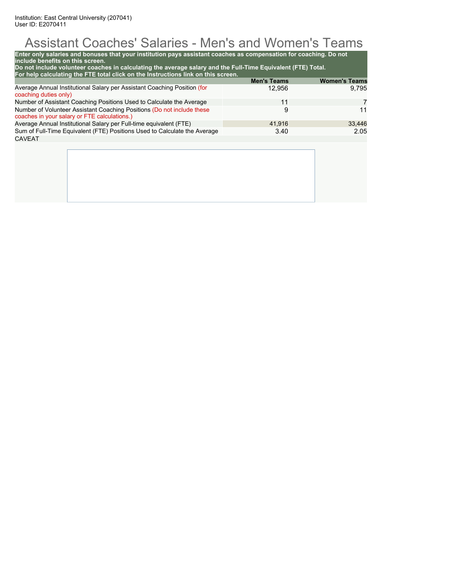# Assistant Coaches' Salaries - Men's and Women's Teams

| Do not include volunteer coaches in calculating the average salary and the Full-Time Equivalent (FTE) Total.<br>For help calculating the FTE total click on the Instructions link on this screen. | <b>Men's Teams</b> | <b>Women's Teams</b> |
|---------------------------------------------------------------------------------------------------------------------------------------------------------------------------------------------------|--------------------|----------------------|
| Average Annual Institutional Salary per Assistant Coaching Position (for<br>coaching duties only)                                                                                                 | 12,956             | 9,795                |
| Number of Assistant Coaching Positions Used to Calculate the Average                                                                                                                              | 11                 | 7                    |
| Number of Volunteer Assistant Coaching Positions (Do not include these<br>coaches in your salary or FTE calculations.)                                                                            | 9                  | 11                   |
| Average Annual Institutional Salary per Full-time equivalent (FTE)                                                                                                                                | 41.916             | 33,446               |
| Sum of Full-Time Equivalent (FTE) Positions Used to Calculate the Average                                                                                                                         | 3.40               | 2.05                 |
| <b>CAVEAT</b>                                                                                                                                                                                     |                    |                      |
|                                                                                                                                                                                                   |                    |                      |
|                                                                                                                                                                                                   |                    |                      |
|                                                                                                                                                                                                   |                    |                      |
|                                                                                                                                                                                                   |                    |                      |
|                                                                                                                                                                                                   |                    |                      |
|                                                                                                                                                                                                   |                    |                      |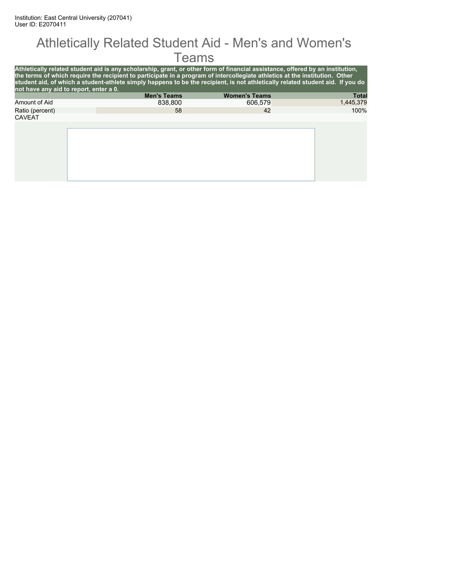#### Athletically Related Student Aid - Men's and Women's Teams

| not have any aid to report, enter a 0. | Athletically related student aid is any scholarship, grant, or other form of financial assistance, offered by an institution,<br>the terms of which require the recipient to participate in a program of intercollegiate athletics at the institution. Other<br>student aid, of which a student-athlete simply happens to be the recipient, is not athletically related student aid. If you do |                      |              |
|----------------------------------------|------------------------------------------------------------------------------------------------------------------------------------------------------------------------------------------------------------------------------------------------------------------------------------------------------------------------------------------------------------------------------------------------|----------------------|--------------|
|                                        | <b>Men's Teams</b>                                                                                                                                                                                                                                                                                                                                                                             | <b>Women's Teams</b> | <b>Total</b> |
| Amount of Aid                          | 838,800                                                                                                                                                                                                                                                                                                                                                                                        | 606.579              | 1,445,379    |
| Ratio (percent)                        | 58                                                                                                                                                                                                                                                                                                                                                                                             | 42                   | 100%         |
| <b>CAVEAT</b>                          |                                                                                                                                                                                                                                                                                                                                                                                                |                      |              |
|                                        |                                                                                                                                                                                                                                                                                                                                                                                                |                      |              |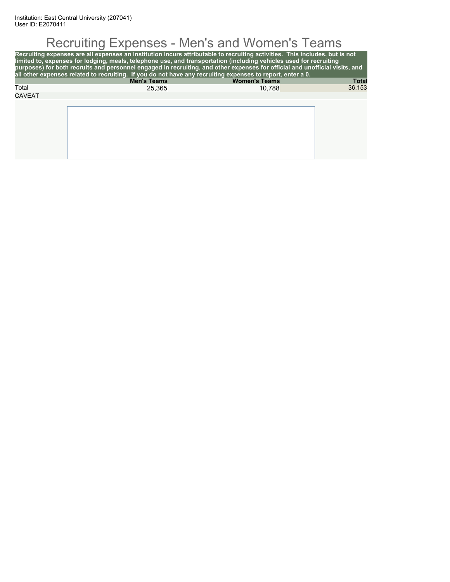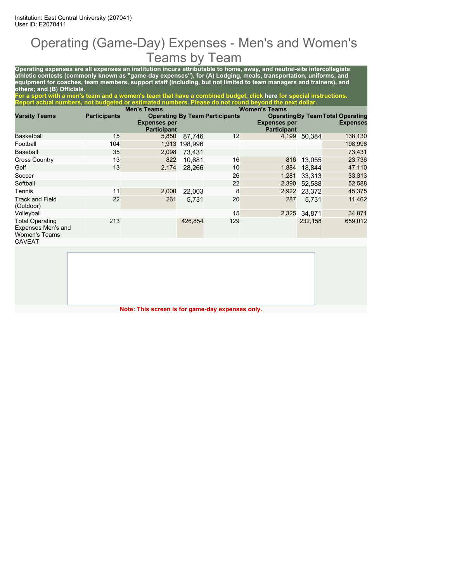### Operating (Game-Day) Expenses - Men's and Women's Teams by Team

**Operating expenses are all expenses an institution incurs attributable to home, away, and neutral-site intercollegiate athletic contests (commonly known as "game-day expenses"), for (A) Lodging, meals, transportation, uniforms, and equipment for coaches, team members, support staff (including, but not limited to team managers and trainers), and others; and (B) Officials.**

**For a sport with a men's team and a women's team that have a combined budget, click here for special instructions. Report actual numbers, not budgeted or estimated numbers. Please do not round beyond the next dollar.**

|                                                                      |                     | <b>Men's Teams</b>                        |         |                                       | <b>Women's Teams</b>                      |         |                                                             |
|----------------------------------------------------------------------|---------------------|-------------------------------------------|---------|---------------------------------------|-------------------------------------------|---------|-------------------------------------------------------------|
| <b>Varsity Teams</b>                                                 | <b>Participants</b> | <b>Expenses per</b><br><b>Participant</b> |         | <b>Operating By Team Participants</b> | <b>Expenses per</b><br><b>Participant</b> |         | <b>Operating By Team Total Operating</b><br><b>Expenses</b> |
| Basketball                                                           | 15                  | 5,850                                     | 87.746  | 12                                    | 4,199                                     | 50.384  | 138,130                                                     |
| Football                                                             | 104                 | 1,913                                     | 198.996 |                                       |                                           |         | 198,996                                                     |
| Baseball                                                             | 35                  | 2,098                                     | 73.431  |                                       |                                           |         | 73,431                                                      |
| <b>Cross Country</b>                                                 | 13                  | 822                                       | 10.681  | 16                                    | 816                                       | 13.055  | 23,736                                                      |
| Golf                                                                 | 13                  | 2,174                                     | 28.266  | 10                                    | 1,884                                     | 18.844  | 47,110                                                      |
| Soccer                                                               |                     |                                           |         | 26                                    | 1,281                                     | 33.313  | 33,313                                                      |
| Softball                                                             |                     |                                           |         | 22                                    | 2,390                                     | 52.588  | 52,588                                                      |
| Tennis                                                               | 11                  | 2,000                                     | 22,003  | 8                                     | 2,922                                     | 23,372  | 45,375                                                      |
| <b>Track and Field</b><br>(Outdoor)                                  | 22                  | 261                                       | 5.731   | 20                                    | 287                                       | 5.731   | 11,462                                                      |
| Volleyball                                                           |                     |                                           |         | 15                                    | 2,325                                     | 34.871  | 34,871                                                      |
| <b>Total Operating</b><br>Expenses Men's and<br><b>Women's Teams</b> | 213                 |                                           | 426,854 | 129                                   |                                           | 232,158 | 659,012                                                     |
| <b>CAVEAT</b>                                                        |                     |                                           |         |                                       |                                           |         |                                                             |

**Note: This screen is for game-day expenses only.**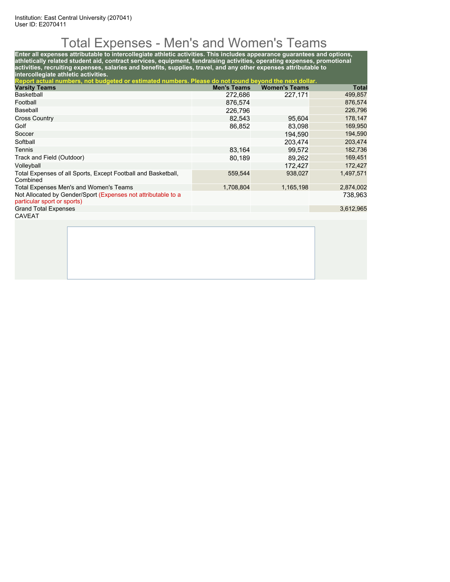# Total Expenses - Men's and Women's Teams

**Enter all expenses attributable to intercollegiate athletic activities. This includes appearance guarantees and options, athletically related student aid, contract services, equipment, fundraising activities, operating expenses, promotional activities, recruiting expenses, salaries and benefits, supplies, travel, and any other expenses attributable to intercollegiate athletic activities.**

| Report actual numbers, not budgeted or estimated numbers. Please do not round beyond the next dollar. |                    |                      |           |
|-------------------------------------------------------------------------------------------------------|--------------------|----------------------|-----------|
| <b>Varsity Teams</b>                                                                                  | <b>Men's Teams</b> | <b>Women's Teams</b> | Total     |
| <b>Basketball</b>                                                                                     | 272,686            | 227.171              | 499,857   |
| Football                                                                                              | 876,574            |                      | 876,574   |
| Baseball                                                                                              | 226,796            |                      | 226,796   |
| <b>Cross Country</b>                                                                                  | 82,543             | 95.604               | 178,147   |
| Golf                                                                                                  | 86,852             | 83,098               | 169,950   |
| Soccer                                                                                                |                    | 194.590              | 194,590   |
| Softball                                                                                              |                    | 203.474              | 203,474   |
| Tennis                                                                                                | 83.164             | 99.572               | 182,736   |
| Track and Field (Outdoor)                                                                             | 80,189             | 89.262               | 169,451   |
| Volleyball                                                                                            |                    | 172.427              | 172,427   |
| Total Expenses of all Sports, Except Football and Basketball,<br>Combined                             | 559,544            | 938,027              | 1,497,571 |
| Total Expenses Men's and Women's Teams                                                                | 1,708,804          | 1,165,198            | 2,874,002 |
| Not Allocated by Gender/Sport (Expenses not attributable to a<br>particular sport or sports)          |                    |                      | 738,963   |
| <b>Grand Total Expenses</b>                                                                           |                    |                      | 3,612,965 |
| <b>CAVEAT</b>                                                                                         |                    |                      |           |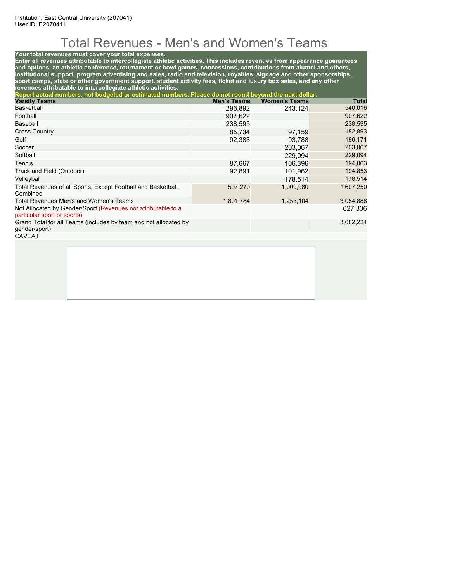# Total Revenues - Men's and Women's Teams

#### **Your total revenues must cover your total expenses.**

**Enter all revenues attributable to intercollegiate athletic activities. This includes revenues from appearance guarantees and options, an athletic conference, tournament or bowl games, concessions, contributions from alumni and others, institutional support, program advertising and sales, radio and television, royalties, signage and other sponsorships, sport camps, state or other government support, student activity fees, ticket and luxury box sales, and any other revenues attributable to intercollegiate athletic activities.**

| Report actual numbers, not budgeted or estimated numbers. Please do not round beyond the next dollar. |                    |                      |           |
|-------------------------------------------------------------------------------------------------------|--------------------|----------------------|-----------|
| <b>Varsity Teams</b>                                                                                  | <b>Men's Teams</b> | <b>Women's Teams</b> | Total     |
| <b>Basketball</b>                                                                                     | 296,892            | 243.124              | 540,016   |
| Football                                                                                              | 907,622            |                      | 907,622   |
| Baseball                                                                                              | 238,595            |                      | 238,595   |
| <b>Cross Country</b>                                                                                  | 85.734             | 97,159               | 182,893   |
| Golf                                                                                                  | 92,383             | 93,788               | 186,171   |
| Soccer                                                                                                |                    | 203.067              | 203,067   |
| Softball                                                                                              |                    | 229.094              | 229,094   |
| Tennis                                                                                                | 87.667             | 106.396              | 194,063   |
| Track and Field (Outdoor)                                                                             | 92.891             | 101.962              | 194,853   |
| Volleyball                                                                                            |                    | 178.514              | 178,514   |
| Total Revenues of all Sports, Except Football and Basketball,<br>Combined                             | 597,270            | 1,009,980            | 1,607,250 |
| Total Revenues Men's and Women's Teams                                                                | 1,801,784          | 1,253,104            | 3,054,888 |
| Not Allocated by Gender/Sport (Revenues not attributable to a<br>particular sport or sports)          |                    |                      | 627.336   |
| Grand Total for all Teams (includes by team and not allocated by<br>gender/sport)                     |                    |                      | 3,682,224 |
| <b>CAVEAT</b>                                                                                         |                    |                      |           |
|                                                                                                       |                    |                      |           |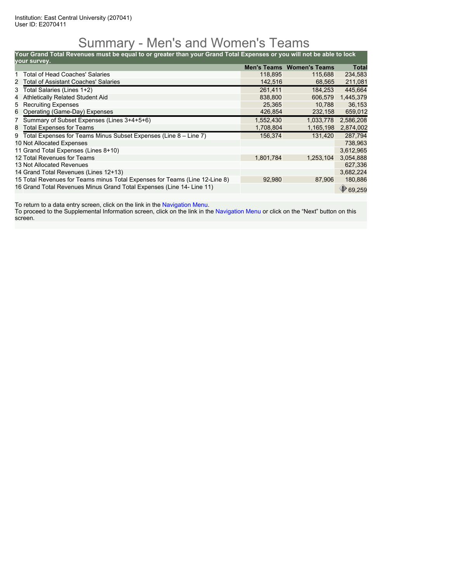### Summary - Men's and Women's Teams

**Your Grand Total Revenues must be equal to or greater than your Grand Total Expenses or you will not be able to lock**

| your survey. |                                                                             |             |                      |              |
|--------------|-----------------------------------------------------------------------------|-------------|----------------------|--------------|
|              |                                                                             | Men's Teams | <b>Women's Teams</b> | <b>Total</b> |
|              | Total of Head Coaches' Salaries                                             | 118.895     | 115,688              | 234,583      |
|              | 2 Total of Assistant Coaches' Salaries                                      | 142,516     | 68,565               | 211,081      |
|              | 3 Total Salaries (Lines 1+2)                                                | 261,411     | 184.253              | 445,664      |
| 4            | Athletically Related Student Aid                                            | 838,800     | 606,579              | 1,445,379    |
|              | 5 Recruiting Expenses                                                       | 25,365      | 10,788               | 36,153       |
|              | 6 Operating (Game-Day) Expenses                                             | 426,854     | 232,158              | 659,012      |
|              | 7 Summary of Subset Expenses (Lines 3+4+5+6)                                | 1,552,430   | 1,033,778            | 2,586,208    |
| 8            | <b>Total Expenses for Teams</b>                                             | 1,708,804   | 1,165,198            | 2,874,002    |
|              | 9 Total Expenses for Teams Minus Subset Expenses (Line 8 - Line 7)          | 156,374     | 131.420              | 287,794      |
|              | 10 Not Allocated Expenses                                                   |             |                      | 738,963      |
|              | 11 Grand Total Expenses (Lines 8+10)                                        |             |                      | 3,612,965    |
|              | 12 Total Revenues for Teams                                                 | 1,801,784   | 1,253,104            | 3,054,888    |
|              | 13 Not Allocated Revenues                                                   |             |                      | 627.336      |
|              | 14 Grand Total Revenues (Lines 12+13)                                       |             |                      | 3,682,224    |
|              | 15 Total Revenues for Teams minus Total Expenses for Teams (Line 12-Line 8) | 92,980      | 87,906               | 180,886      |
|              | 16 Grand Total Revenues Minus Grand Total Expenses (Line 14- Line 11)       |             |                      | 69,259       |

To return to a data entry screen, click on the link in the Navigation Menu.

To proceed to the Supplemental Information screen, click on the link in the Navigation Menu or click on the "Next" button on this screen.